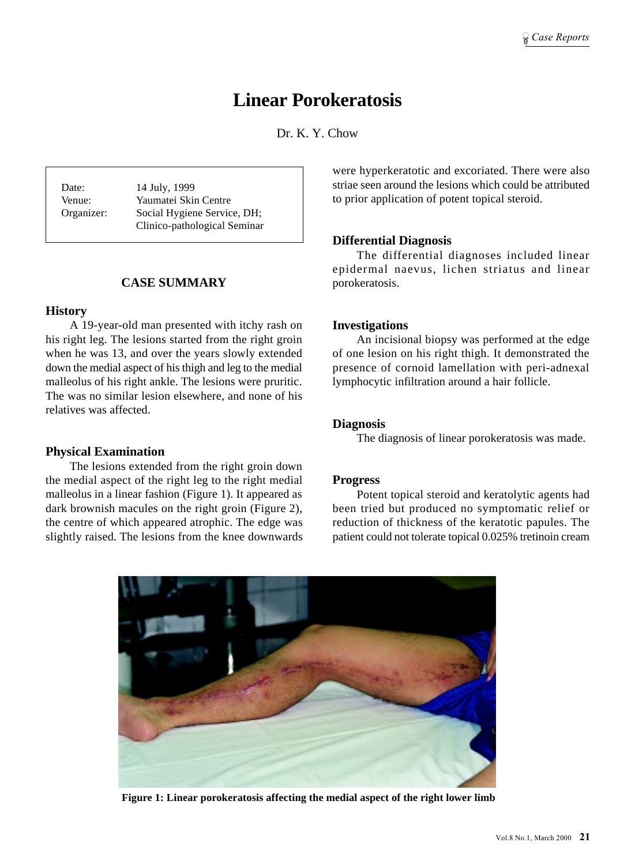# **Linear Porokeratosis**

Dr. K. Y. Chow

Date: 14 July, 1999 Venue: Yaumatei Skin Centre Organizer: Social Hygiene Service, DH; Clinico-pathological Seminar

# **CASE SUMMARY**

#### **History**

A 19-year-old man presented with itchy rash on his right leg. The lesions started from the right groin when he was 13, and over the years slowly extended down the medial aspect of his thigh and leg to the medial malleolus of his right ankle. The lesions were pruritic. The was no similar lesion elsewhere, and none of his relatives was affected.

#### **Physical Examination**

The lesions extended from the right groin down the medial aspect of the right leg to the right medial malleolus in a linear fashion (Figure 1). It appeared as dark brownish macules on the right groin (Figure 2), the centre of which appeared atrophic. The edge was slightly raised. The lesions from the knee downwards were hyperkeratotic and excoriated. There were also striae seen around the lesions which could be attributed to prior application of potent topical steroid.

# **Differential Diagnosis**

The differential diagnoses included linear epidermal naevus, lichen striatus and linear porokeratosis.

## **Investigations**

An incisional biopsy was performed at the edge of one lesion on his right thigh. It demonstrated the presence of cornoid lamellation with peri-adnexal lymphocytic infiltration around a hair follicle.

## **Diagnosis**

The diagnosis of linear porokeratosis was made.

#### **Progress**

Potent topical steroid and keratolytic agents had been tried but produced no symptomatic relief or reduction of thickness of the keratotic papules. The patient could not tolerate topical 0.025% tretinoin cream



**Figure 1: Linear porokeratosis affecting the medial aspect of the right lower limb**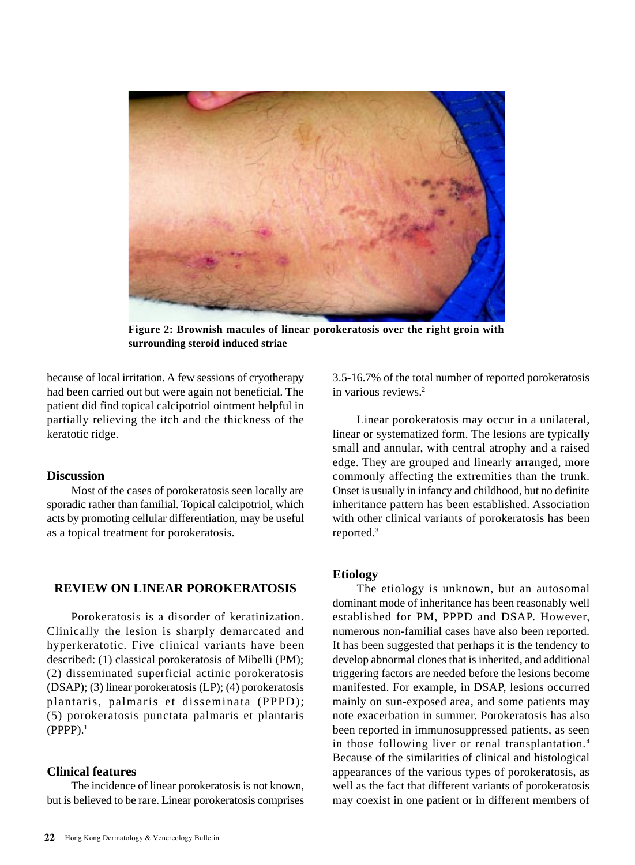

**Figure 2: Brownish macules of linear porokeratosis over the right groin with surrounding steroid induced striae**

because of local irritation. A few sessions of cryotherapy had been carried out but were again not beneficial. The patient did find topical calcipotriol ointment helpful in partially relieving the itch and the thickness of the keratotic ridge.

## **Discussion**

Most of the cases of porokeratosis seen locally are sporadic rather than familial. Topical calcipotriol, which acts by promoting cellular differentiation, may be useful as a topical treatment for porokeratosis.

## **REVIEW ON LINEAR POROKERATOSIS**

Porokeratosis is a disorder of keratinization. Clinically the lesion is sharply demarcated and hyperkeratotic. Five clinical variants have been described: (1) classical porokeratosis of Mibelli (PM); (2) disseminated superficial actinic porokeratosis (DSAP); (3) linear porokeratosis (LP); (4) porokeratosis plantaris, palmaris et disseminata (PPPD); (5) porokeratosis punctata palmaris et plantaris  $(PPPP).<sup>1</sup>$ 

## **Clinical features**

The incidence of linear porokeratosis is not known, but is believed to be rare. Linear porokeratosis comprises 3.5-16.7% of the total number of reported porokeratosis in various reviews.2

Linear porokeratosis may occur in a unilateral, linear or systematized form. The lesions are typically small and annular, with central atrophy and a raised edge. They are grouped and linearly arranged, more commonly affecting the extremities than the trunk. Onset is usually in infancy and childhood, but no definite inheritance pattern has been established. Association with other clinical variants of porokeratosis has been reported.3

## **Etiology**

The etiology is unknown, but an autosomal dominant mode of inheritance has been reasonably well established for PM, PPPD and DSAP. However, numerous non-familial cases have also been reported. It has been suggested that perhaps it is the tendency to develop abnormal clones that is inherited, and additional triggering factors are needed before the lesions become manifested. For example, in DSAP, lesions occurred mainly on sun-exposed area, and some patients may note exacerbation in summer. Porokeratosis has also been reported in immunosuppressed patients, as seen in those following liver or renal transplantation.<sup>4</sup> Because of the similarities of clinical and histological appearances of the various types of porokeratosis, as well as the fact that different variants of porokeratosis may coexist in one patient or in different members of